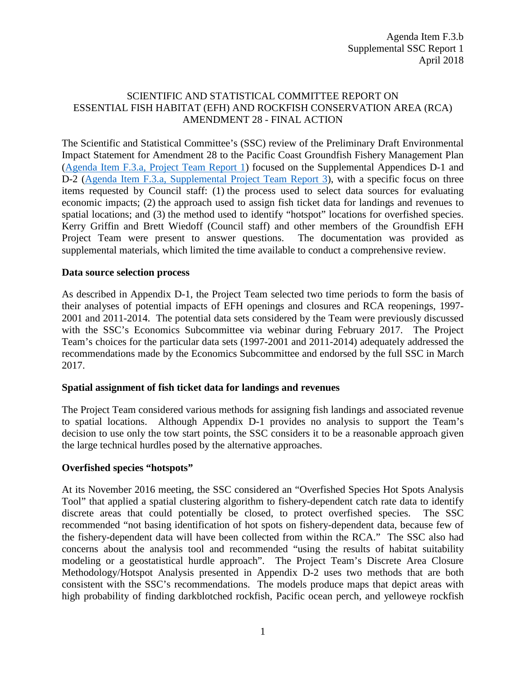## SCIENTIFIC AND STATISTICAL COMMITTEE REPORT ON ESSENTIAL FISH HABITAT (EFH) AND ROCKFISH CONSERVATION AREA (RCA) AMENDMENT 28 - FINAL ACTION

The Scientific and Statistical Committee's (SSC) review of the Preliminary Draft Environmental Impact Statement for Amendment 28 to the Pacific Coast Groundfish Fishery Management Plan [\(Agenda Item F.3.a, Project Team Report 1\)](https://www.pcouncil.org/wp-content/uploads/2018/03/F3a_Project_Team_Report1_Apr2018BB.pdf) focused on the Supplemental Appendices D-1 and D-2 [\(Agenda Item F.3.a, Supplemental Project Team Report 3\)](https://www.pcouncil.org/wp-content/uploads/2018/04/F3a_Supp_Project_Team_Report3_Appendices_Apr2018BB.pdf), with a specific focus on three items requested by Council staff: (1) the process used to select data sources for evaluating economic impacts; (2) the approach used to assign fish ticket data for landings and revenues to spatial locations; and (3) the method used to identify "hotspot" locations for overfished species. Kerry Griffin and Brett Wiedoff (Council staff) and other members of the Groundfish EFH Project Team were present to answer questions. The documentation was provided as supplemental materials, which limited the time available to conduct a comprehensive review.

### **Data source selection process**

As described in Appendix D-1, the Project Team selected two time periods to form the basis of their analyses of potential impacts of EFH openings and closures and RCA reopenings, 1997- 2001 and 2011-2014. The potential data sets considered by the Team were previously discussed with the SSC's Economics Subcommittee via webinar during February 2017. The Project Team's choices for the particular data sets (1997-2001 and 2011-2014) adequately addressed the recommendations made by the Economics Subcommittee and endorsed by the full SSC in March 2017.

#### **Spatial assignment of fish ticket data for landings and revenues**

The Project Team considered various methods for assigning fish landings and associated revenue to spatial locations. Although Appendix D-1 provides no analysis to support the Team's decision to use only the tow start points, the SSC considers it to be a reasonable approach given the large technical hurdles posed by the alternative approaches.

## **Overfished species "hotspots"**

At its November 2016 meeting, the SSC considered an "Overfished Species Hot Spots Analysis Tool" that applied a spatial clustering algorithm to fishery-dependent catch rate data to identify discrete areas that could potentially be closed, to protect overfished species. The SSC recommended "not basing identification of hot spots on fishery-dependent data, because few of the fishery-dependent data will have been collected from within the RCA." The SSC also had concerns about the analysis tool and recommended "using the results of habitat suitability modeling or a geostatistical hurdle approach". The Project Team's Discrete Area Closure Methodology/Hotspot Analysis presented in Appendix D-2 uses two methods that are both consistent with the SSC's recommendations. The models produce maps that depict areas with high probability of finding darkblotched rockfish, Pacific ocean perch, and yelloweye rockfish